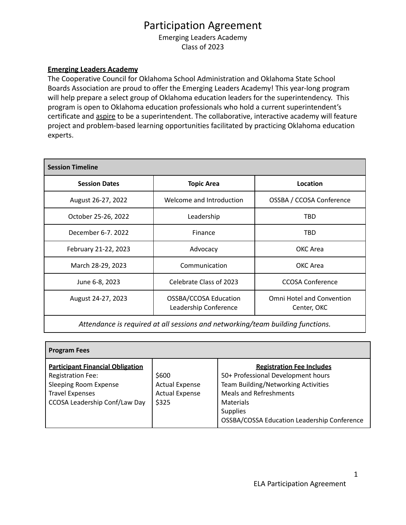## Participation Agreement

Emerging Leaders Academy Class of 2023

## **Emerging Leaders Academy**

The Cooperative Council for Oklahoma School Administration and Oklahoma State School Boards Association are proud to offer the Emerging Leaders Academy! This year-long program will help prepare a select group of Oklahoma education leaders for the superintendency. This program is open to Oklahoma education professionals who hold a current superintendent's certificate and aspire to be a superintendent. The collaborative, interactive academy will feature project and problem-based learning opportunities facilitated by practicing Oklahoma education experts.

| <b>Session Timeline</b> |                                                |                                                 |  |  |
|-------------------------|------------------------------------------------|-------------------------------------------------|--|--|
| <b>Session Dates</b>    | <b>Topic Area</b>                              | Location                                        |  |  |
| August 26-27, 2022      | Welcome and Introduction                       | OSSBA / CCOSA Conference                        |  |  |
| October 25-26, 2022     | Leadership                                     | TBD                                             |  |  |
| December 6-7, 2022      | Finance                                        | TBD                                             |  |  |
| February 21-22, 2023    | Advocacy                                       | OKC Area                                        |  |  |
| March 28-29, 2023       | Communication                                  | OKC Area                                        |  |  |
| June 6-8, 2023          | Celebrate Class of 2023                        | <b>CCOSA Conference</b>                         |  |  |
| August 24-27, 2023      | OSSBA/CCOSA Education<br>Leadership Conference | <b>Omni Hotel and Convention</b><br>Center, OKC |  |  |

*Attendance is required at all sessions and networking/team building functions.*

| <b>Program Fees</b>                                                                                                                                            |                                                                  |                                                                                                                                                                                                                                      |  |  |
|----------------------------------------------------------------------------------------------------------------------------------------------------------------|------------------------------------------------------------------|--------------------------------------------------------------------------------------------------------------------------------------------------------------------------------------------------------------------------------------|--|--|
| <b>Participant Financial Obligation</b><br><b>Registration Fee:</b><br><b>Sleeping Room Expense</b><br><b>Travel Expenses</b><br>CCOSA Leadership Conf/Law Day | \$600<br><b>Actual Expense</b><br><b>Actual Expense</b><br>\$325 | <b>Registration Fee Includes</b><br>50+ Professional Development hours<br>Team Building/Networking Activities<br><b>Meals and Refreshments</b><br>Materials<br><b>Supplies</b><br><b>OSSBA/COSSA Education Leadership Conference</b> |  |  |